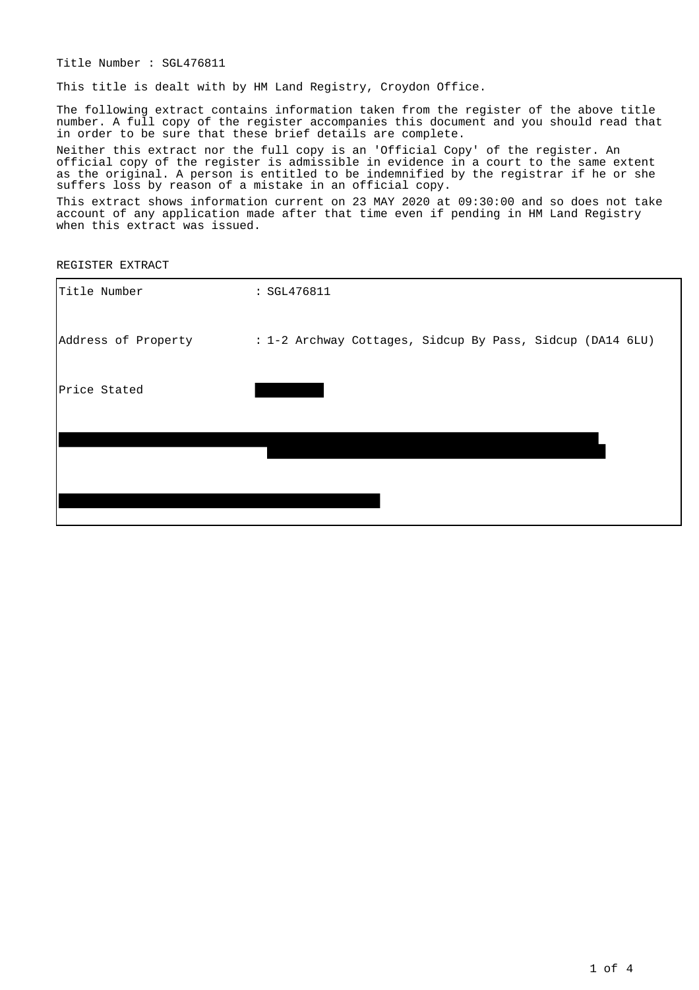Title Number : SGL476811

This title is dealt with by HM Land Registry, Croydon Office.

The following extract contains information taken from the register of the above title number. A full copy of the register accompanies this document and you should read that in order to be sure that these brief details are complete.

Neither this extract nor the full copy is an 'Official Copy' of the register. An official copy of the register is admissible in evidence in a court to the same extent as the original. A person is entitled to be indemnified by the registrar if he or she suffers loss by reason of a mistake in an official copy.

This extract shows information current on 23 MAY 2020 at 09:30:00 and so does not take account of any application made after that time even if pending in HM Land Registry when this extract was issued.

REGISTER EXTRACT

| Title Number        | : SGL476811                                               |
|---------------------|-----------------------------------------------------------|
| Address of Property | : 1-2 Archway Cottages, Sidcup By Pass, Sidcup (DA14 6LU) |
| Price Stated        |                                                           |
|                     |                                                           |
|                     |                                                           |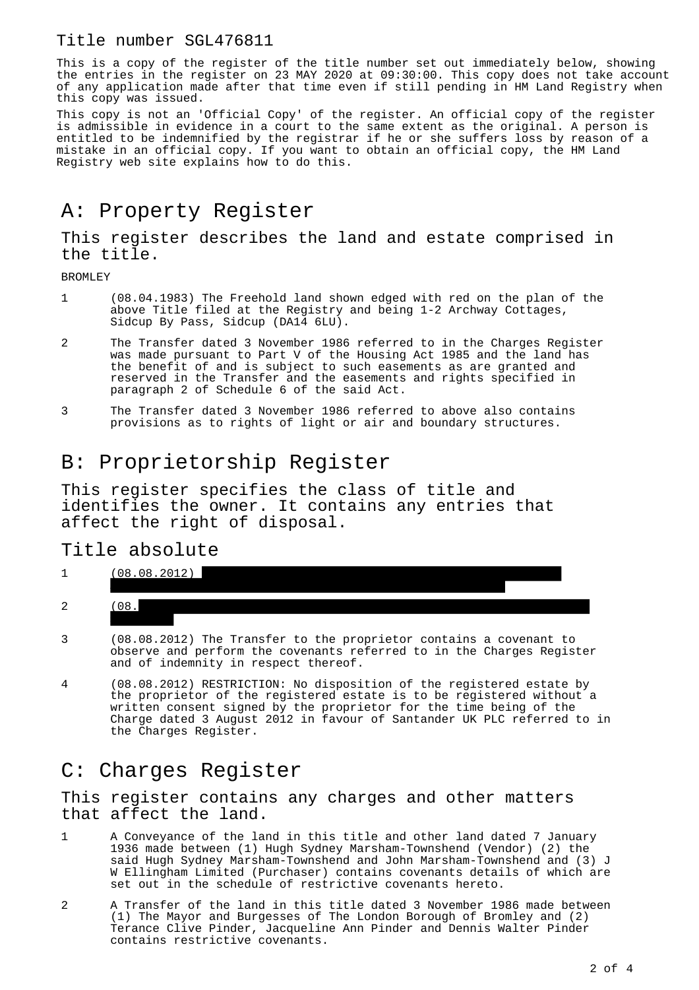#### Title number SGL476811

This is a copy of the register of the title number set out immediately below, showing the entries in the register on 23 MAY 2020 at 09:30:00. This copy does not take account of any application made after that time even if still pending in HM Land Registry when this copy was issued.

This copy is not an 'Official Copy' of the register. An official copy of the register is admissible in evidence in a court to the same extent as the original. A person is entitled to be indemnified by the registrar if he or she suffers loss by reason of a mistake in an official copy. If you want to obtain an official copy, the HM Land Registry web site explains how to do this.

# A: Property Register

This register describes the land and estate comprised in the title.

BROMLEY

- 1 (08.04.1983) The Freehold land shown edged with red on the plan of the above Title filed at the Registry and being 1-2 Archway Cottages, Sidcup By Pass, Sidcup (DA14 6LU).
- 2 The Transfer dated 3 November 1986 referred to in the Charges Register was made pursuant to Part V of the Housing Act 1985 and the land has the benefit of and is subject to such easements as are granted and reserved in the Transfer and the easements and rights specified in paragraph 2 of Schedule 6 of the said Act.
- 3 The Transfer dated 3 November 1986 referred to above also contains provisions as to rights of light or air and boundary structures.

## B: Proprietorship Register

This register specifies the class of title and identifies the owner. It contains any entries that affect the right of disposal.

#### Title absolute

| -<br><b>_</b> | $\Omega$<br>$\cap$ $\circ$<br>$\cap$ $\circ$ |
|---------------|----------------------------------------------|
| $\sim$<br>▵   | ັ                                            |

- 3 (08.08.2012) The Transfer to the proprietor contains a covenant to observe and perform the covenants referred to in the Charges Register and of indemnity in respect thereof.
- 4 (08.08.2012) RESTRICTION: No disposition of the registered estate by the proprietor of the registered estate is to be registered without a written consent signed by the proprietor for the time being of the Charge dated 3 August 2012 in favour of Santander UK PLC referred to in the Charges Register.

## C: Charges Register

This register contains any charges and other matters that affect the land.

- 1 A Conveyance of the land in this title and other land dated 7 January 1936 made between (1) Hugh Sydney Marsham-Townshend (Vendor) (2) the said Hugh Sydney Marsham-Townshend and John Marsham-Townshend and (3) J W Ellingham Limited (Purchaser) contains covenants details of which are set out in the schedule of restrictive covenants hereto.
- 2 A Transfer of the land in this title dated 3 November 1986 made between (1) The Mayor and Burgesses of The London Borough of Bromley and (2) Terance Clive Pinder, Jacqueline Ann Pinder and Dennis Walter Pinder contains restrictive covenants.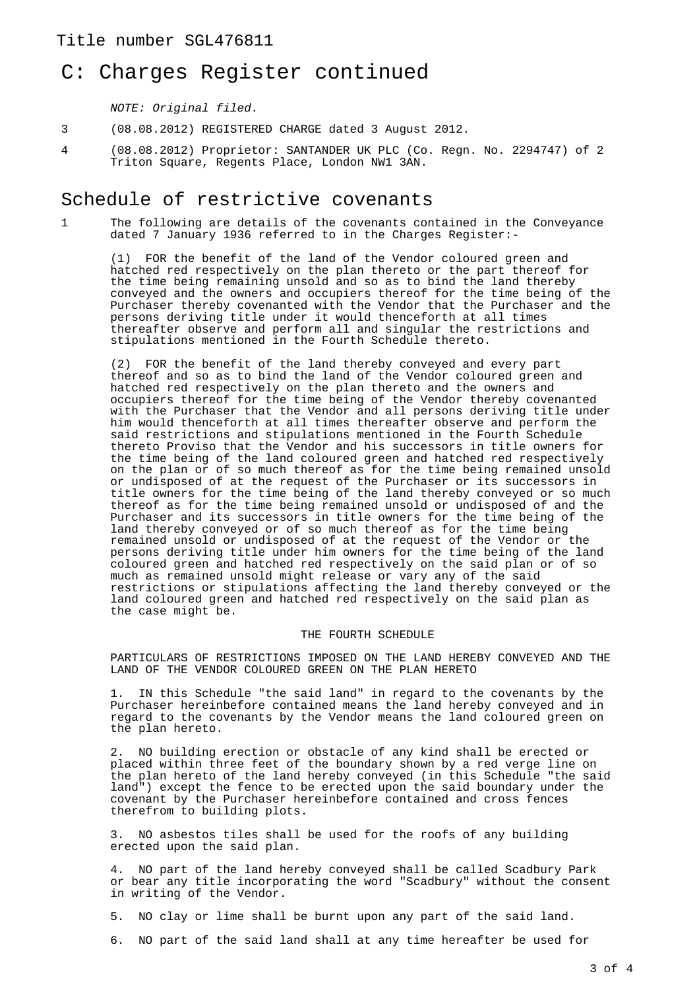## C: Charges Register continued

NOTE: Original filed.

- 3 (08.08.2012) REGISTERED CHARGE dated 3 August 2012.
- 4 (08.08.2012) Proprietor: SANTANDER UK PLC (Co. Regn. No. 2294747) of 2 Triton Square, Regents Place, London NW1 3AN.

### Schedule of restrictive covenants

1 The following are details of the covenants contained in the Conveyance dated 7 January 1936 referred to in the Charges Register:-

(1) FOR the benefit of the land of the Vendor coloured green and hatched red respectively on the plan thereto or the part thereof for the time being remaining unsold and so as to bind the land thereby conveyed and the owners and occupiers thereof for the time being of the Purchaser thereby covenanted with the Vendor that the Purchaser and the persons deriving title under it would thenceforth at all times thereafter observe and perform all and singular the restrictions and stipulations mentioned in the Fourth Schedule thereto.

(2) FOR the benefit of the land thereby conveyed and every part thereof and so as to bind the land of the Vendor coloured green and hatched red respectively on the plan thereto and the owners and occupiers thereof for the time being of the Vendor thereby covenanted with the Purchaser that the Vendor and all persons deriving title under him would thenceforth at all times thereafter observe and perform the said restrictions and stipulations mentioned in the Fourth Schedule thereto Proviso that the Vendor and his successors in title owners for the time being of the land coloured green and hatched red respectively on the plan or of so much thereof as for the time being remained unsold or undisposed of at the request of the Purchaser or its successors in title owners for the time being of the land thereby conveyed or so much thereof as for the time being remained unsold or undisposed of and the Purchaser and its successors in title owners for the time being of the land thereby conveyed or of so much thereof as for the time being remained unsold or undisposed of at the request of the Vendor or the persons deriving title under him owners for the time being of the land coloured green and hatched red respectively on the said plan or of so much as remained unsold might release or vary any of the said restrictions or stipulations affecting the land thereby conveyed or the land coloured green and hatched red respectively on the said plan as the case might be.

#### THE FOURTH SCHEDULE

PARTICULARS OF RESTRICTIONS IMPOSED ON THE LAND HEREBY CONVEYED AND THE LAND OF THE VENDOR COLOURED GREEN ON THE PLAN HERETO

1. IN this Schedule "the said land" in regard to the covenants by the Purchaser hereinbefore contained means the land hereby conveyed and in regard to the covenants by the Vendor means the land coloured green on the plan hereto.

2. NO building erection or obstacle of any kind shall be erected or placed within three feet of the boundary shown by a red verge line on the plan hereto of the land hereby conveyed (in this Schedule "the said land") except the fence to be erected upon the said boundary under the covenant by the Purchaser hereinbefore contained and cross fences therefrom to building plots.

3. NO asbestos tiles shall be used for the roofs of any building erected upon the said plan.

4. NO part of the land hereby conveyed shall be called Scadbury Park or bear any title incorporating the word "Scadbury" without the consent in writing of the Vendor.

- 5. NO clay or lime shall be burnt upon any part of the said land.
- 6. NO part of the said land shall at any time hereafter be used for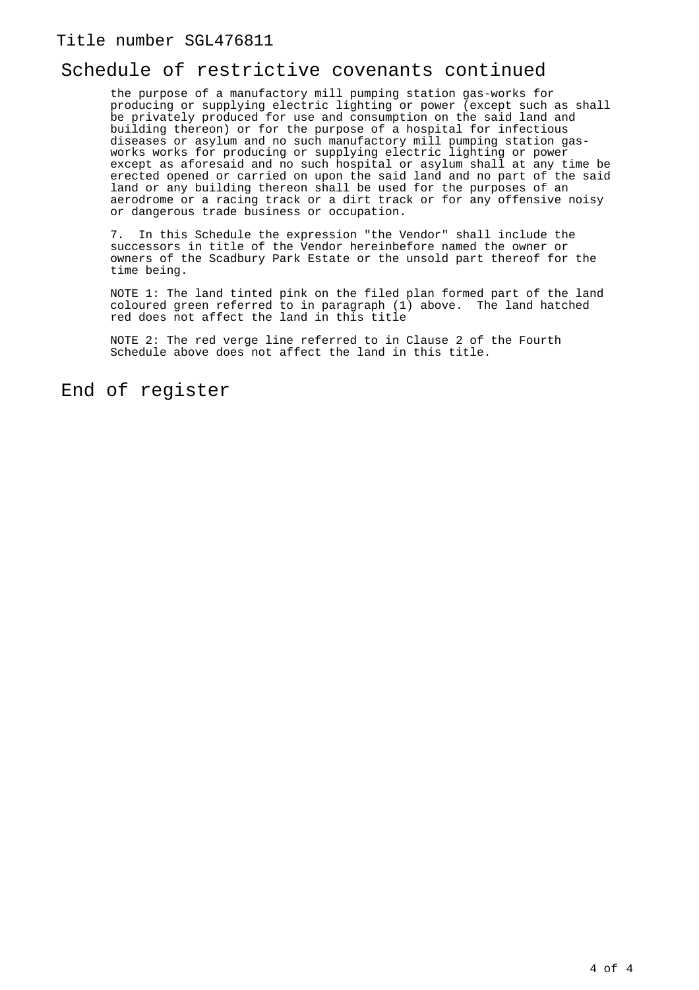## Schedule of restrictive covenants continued

the purpose of a manufactory mill pumping station gas-works for producing or supplying electric lighting or power (except such as shall be privately produced for use and consumption on the said land and building thereon) or for the purpose of a hospital for infectious diseases or asylum and no such manufactory mill pumping station gasworks works for producing or supplying electric lighting or power except as aforesaid and no such hospital or asylum shall at any time be erected opened or carried on upon the said land and no part of the said land or any building thereon shall be used for the purposes of an aerodrome or a racing track or a dirt track or for any offensive noisy or dangerous trade business or occupation.

7. In this Schedule the expression "the Vendor" shall include the successors in title of the Vendor hereinbefore named the owner or owners of the Scadbury Park Estate or the unsold part thereof for the time being.

NOTE 1: The land tinted pink on the filed plan formed part of the land coloured green referred to in paragraph (1) above. The land hatched red does not affect the land in this title

NOTE 2: The red verge line referred to in Clause 2 of the Fourth Schedule above does not affect the land in this title.

End of register